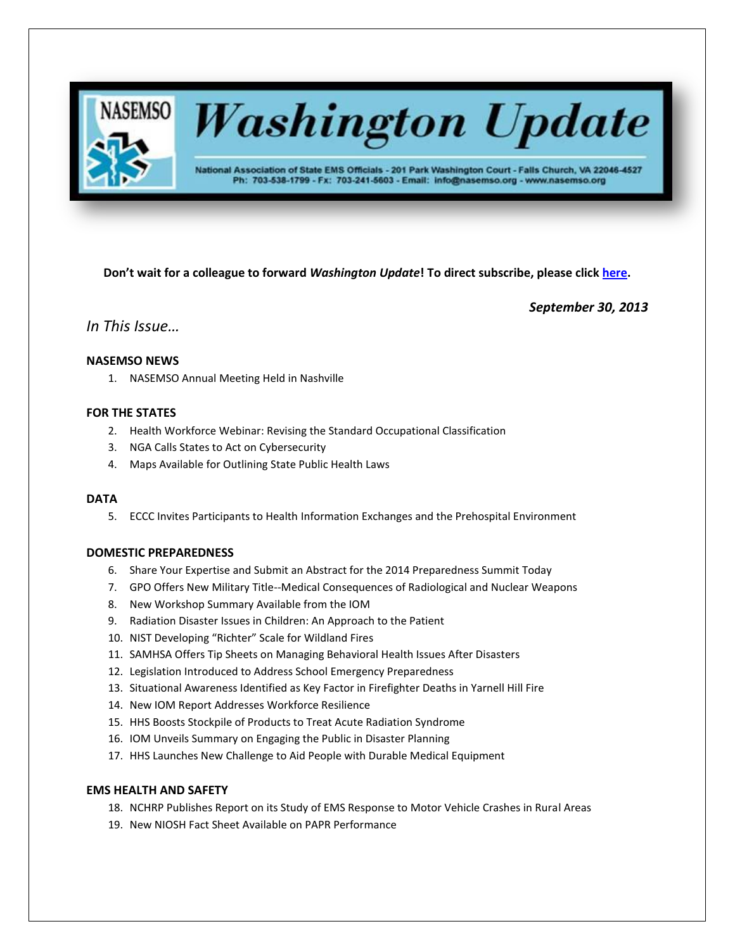

# **Washington Update**

National Association of State EMS Officials - 201 Park Washington Court - Falls Church, VA 22046-4527 Ph: 703-538-1799 - Fx: 703-241-5603 - Email: info@nasemso.org - www.nasemso.org

**Don't wait for a colleague to forward** *Washington Update***! To direct subscribe, please click [here.](http://lists.nasemso.org/read/all_forums/subscribe?name=wu%20)**

*September 30, 2013*

# *In This Issue…*

# **NASEMSO NEWS**

1. NASEMSO Annual Meeting Held in Nashville

# **FOR THE STATES**

- 2. Health Workforce Webinar: Revising the Standard Occupational Classification
- 3. NGA Calls States to Act on Cybersecurity
- 4. Maps Available for Outlining State Public Health Laws

# **DATA**

5. ECCC Invites Participants to Health Information Exchanges and the Prehospital Environment

# **DOMESTIC PREPAREDNESS**

- 6. Share Your Expertise and Submit an Abstract for the 2014 Preparedness Summit Today
- 7. GPO Offers New Military Title--Medical Consequences of Radiological and Nuclear Weapons
- 8. New Workshop Summary Available from the IOM
- 9. Radiation Disaster Issues in Children: An Approach to the Patient
- 10. NIST Developing "Richter" Scale for Wildland Fires
- 11. SAMHSA Offers Tip Sheets on Managing Behavioral Health Issues After Disasters
- 12. Legislation Introduced to Address School Emergency Preparedness
- 13. Situational Awareness Identified as Key Factor in Firefighter Deaths in Yarnell Hill Fire
- 14. New IOM Report Addresses Workforce Resilience
- 15. HHS Boosts Stockpile of Products to Treat Acute Radiation Syndrome
- 16. IOM Unveils Summary on Engaging the Public in Disaster Planning
- 17. HHS Launches New Challenge to Aid People with Durable Medical Equipment

# **EMS HEALTH AND SAFETY**

- 18. NCHRP Publishes Report on its Study of EMS Response to Motor Vehicle Crashes in Rural Areas
- 19. New NIOSH Fact Sheet Available on PAPR Performance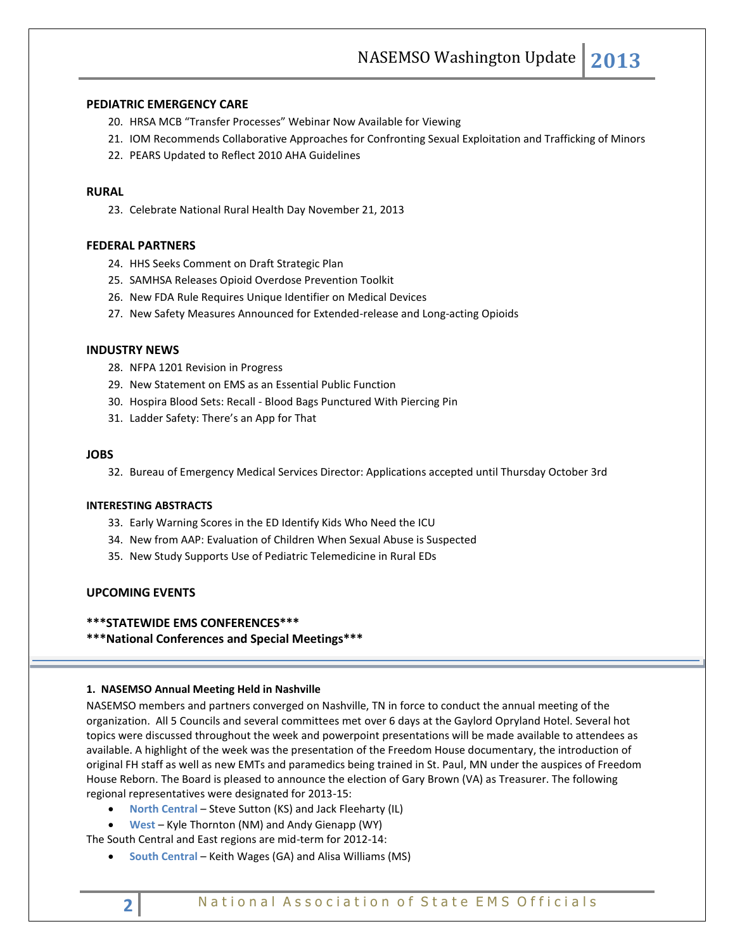# **PEDIATRIC EMERGENCY CARE**

- 20. HRSA MCB "Transfer Processes" Webinar Now Available for Viewing
- 21. IOM Recommends Collaborative Approaches for Confronting Sexual Exploitation and Trafficking of Minors
- 22. PEARS Updated to Reflect 2010 AHA Guidelines

# **RURAL**

23. Celebrate National Rural Health Day November 21, 2013

# **FEDERAL PARTNERS**

- 24. HHS Seeks Comment on Draft Strategic Plan
- 25. SAMHSA Releases Opioid Overdose Prevention Toolkit
- 26. New FDA Rule Requires Unique Identifier on Medical Devices
- 27. New Safety Measures Announced for Extended-release and Long-acting Opioids

## **INDUSTRY NEWS**

- 28. NFPA 1201 Revision in Progress
- 29. New Statement on EMS as an Essential Public Function
- 30. Hospira Blood Sets: Recall Blood Bags Punctured With Piercing Pin
- 31. Ladder Safety: There's an App for That

# **JOBS**

32. Bureau of Emergency Medical Services Director: Applications accepted until Thursday October 3rd

#### **INTERESTING ABSTRACTS**

- 33. Early Warning Scores in the ED Identify Kids Who Need the ICU
- 34. New from AAP: Evaluation of Children When Sexual Abuse is Suspected
- 35. New Study Supports Use of Pediatric Telemedicine in Rural EDs

# **UPCOMING EVENTS**

# **\*\*\*STATEWIDE EMS CONFERENCES\*\*\***

**\*\*\*National Conferences and Special Meetings\*\*\***

# **1. NASEMSO Annual Meeting Held in Nashville**

NASEMSO members and partners converged on Nashville, TN in force to conduct the annual meeting of the organization. All 5 Councils and several committees met over 6 days at the Gaylord Opryland Hotel. Several hot topics were discussed throughout the week and powerpoint presentations will be made available to attendees as available. A highlight of the week was the presentation of the Freedom House documentary, the introduction of original FH staff as well as new EMTs and paramedics being trained in St. Paul, MN under the auspices of Freedom House Reborn. The Board is pleased to announce the election of Gary Brown (VA) as Treasurer. The following regional representatives were designated for 2013-15:

- **North Central** Steve Sutton (KS) and Jack Fleeharty (IL)
- **West** Kyle Thornton (NM) and Andy Gienapp (WY)

The South Central and East regions are mid-term for 2012-14:

**South Central** – Keith Wages (GA) and Alisa Williams (MS)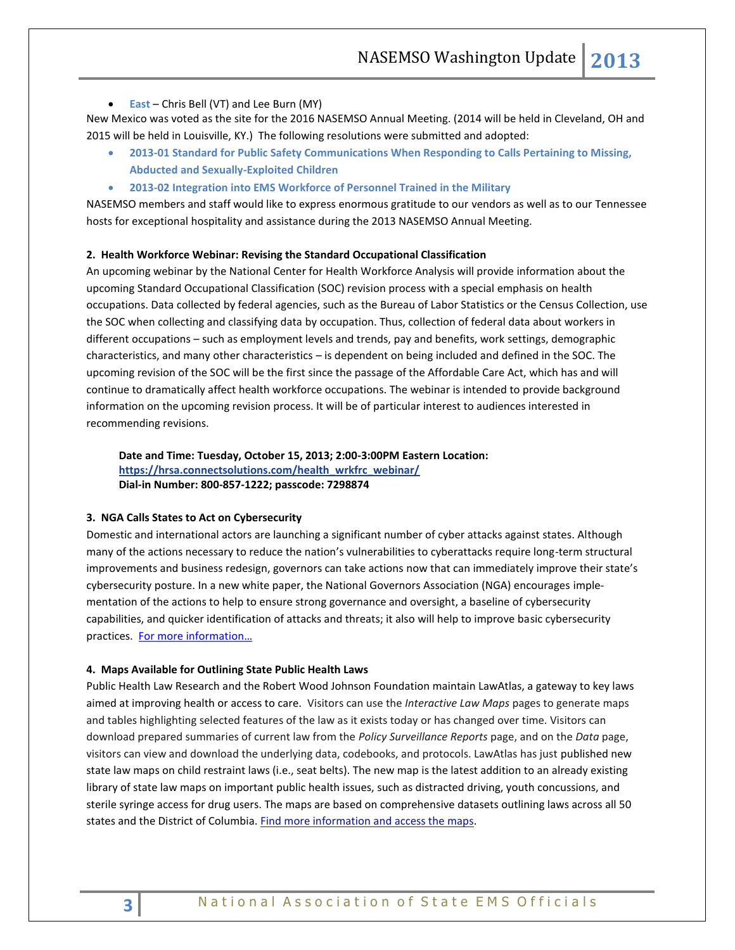**East** – Chris Bell (VT) and Lee Burn (MY)

New Mexico was voted as the site for the 2016 NASEMSO Annual Meeting. (2014 will be held in Cleveland, OH and 2015 will be held in Louisville, KY.) The following resolutions were submitted and adopted:

- **2013-01 Standard for Public Safety Communications When Responding to Calls Pertaining to Missing, Abducted and Sexually-Exploited Children**
- **2013-02 Integration into EMS Workforce of Personnel Trained in the Military**

NASEMSO members and staff would like to express enormous gratitude to our vendors as well as to our Tennessee hosts for exceptional hospitality and assistance during the 2013 NASEMSO Annual Meeting.

# **2. Health Workforce Webinar: Revising the Standard Occupational Classification**

An upcoming webinar by the National Center for Health Workforce Analysis will provide information about the upcoming Standard Occupational Classification (SOC) revision process with a special emphasis on health occupations. Data collected by federal agencies, such as the Bureau of Labor Statistics or the Census Collection, use the SOC when collecting and classifying data by occupation. Thus, collection of federal data about workers in different occupations – such as employment levels and trends, pay and benefits, work settings, demographic characteristics, and many other characteristics – is dependent on being included and defined in the SOC. The upcoming revision of the SOC will be the first since the passage of the Affordable Care Act, which has and will continue to dramatically affect health workforce occupations. The webinar is intended to provide background information on the upcoming revision process. It will be of particular interest to audiences interested in recommending revisions.

**Date and Time: Tuesday, October 15, 2013; 2:00-3:00PM Eastern Location: [https://hrsa.connectsolutions.com/health\\_wrkfrc\\_webinar/](https://hrsa.connectsolutions.com/health_wrkfrc_webinar/) Dial-in Number: 800-857-1222; passcode: 7298874**

#### **3. NGA Calls States to Act on Cybersecurity**

Domestic and international actors are launching a significant number of cyber attacks against states. Although many of the actions necessary to reduce the nation's vulnerabilities to cyberattacks require long-term structural improvements and business redesign, governors can take actions now that can immediately improve their state's cybersecurity posture. In a new white paper, the National Governors Association (NGA) encourages implementation of the actions to help to ensure strong governance and oversight, a baseline of cybersecurity capabilities, and quicker identification of attacks and threats; it also will help to improve basic cybersecurity practices. [For more information…](http://www.nga.org/files/live/sites/NGA/files/pdf/2013/1309_Act_and_Adjust_Paper.pdf)

#### **4. Maps Available for Outlining State Public Health Laws**

Public Health Law Research and the Robert Wood Johnson Foundation maintain LawAtlas, a gateway to key laws aimed at improving health or access to care. Visitors can use the *Interactive Law Maps* pages to generate maps and tables highlighting selected features of the law as it exists today or has changed over time. Visitors can download prepared summaries of current law from the *Policy Surveillance Reports* page, and on the *Data* page, visitors can view and download the underlying data, codebooks, and protocols. LawAtlas has just published new state law maps on child restraint laws (i.e., seat belts). The new map is the latest addition to an already existing library of state law maps on important public health issues, such as distracted driving, youth concussions, and sterile syringe access for drug users. The maps are based on comprehensive datasets outlining laws across all 50 states and the District of Columbia. [Find more information and access the maps.](http://lawatlas.org/)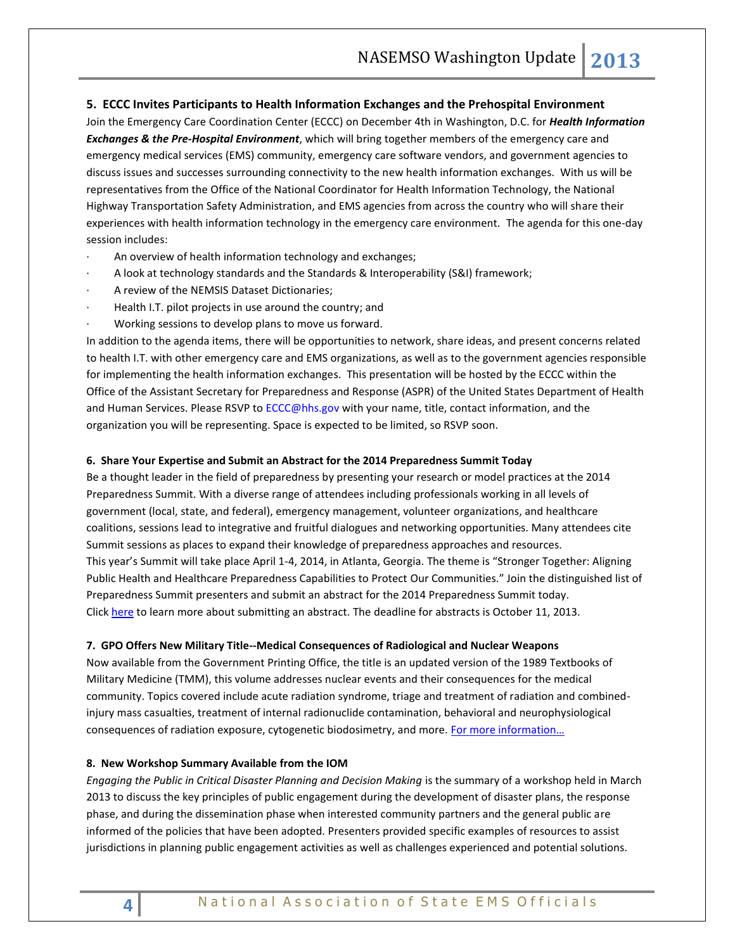# **5. ECCC Invites Participants to Health Information Exchanges and the Prehospital Environment**

Join the Emergency Care Coordination Center (ECCC) on December 4th in Washington, D.C. for *Health Information Exchanges & the Pre-Hospital Environment*, which will bring together members of the emergency care and emergency medical services (EMS) community, emergency care software vendors, and government agencies to discuss issues and successes surrounding connectivity to the new health information exchanges. With us will be representatives from the Office of the National Coordinator for Health Information Technology, the National Highway Transportation Safety Administration, and EMS agencies from across the country who will share their experiences with health information technology in the emergency care environment. The agenda for this one-day session includes:

- An overview of health information technology and exchanges;
- · A look at technology standards and the Standards & Interoperability (S&I) framework;
- A review of the NEMSIS Dataset Dictionaries;
- Health I.T. pilot projects in use around the country; and
- Working sessions to develop plans to move us forward.

In addition to the agenda items, there will be opportunities to network, share ideas, and present concerns related to health I.T. with other emergency care and EMS organizations, as well as to the government agencies responsible for implementing the health information exchanges. This presentation will be hosted by the ECCC within the Office of the Assistant Secretary for Preparedness and Response (ASPR) of the United States Department of Health and Human Services. Please RSVP t[o ECCC@hhs.gov](mailto:ECCC@hhs.gov) with your name, title, contact information, and the organization you will be representing. Space is expected to be limited, so RSVP soon.

## **6. Share Your Expertise and Submit an Abstract for the 2014 Preparedness Summit Today**

Be a thought leader in the field of preparedness by presenting your research or model practices at the 2014 Preparedness Summit. With a diverse range of attendees including professionals working in all levels of government (local, state, and federal), emergency management, volunteer organizations, and healthcare coalitions, sessions lead to integrative and fruitful dialogues and networking opportunities. Many attendees cite Summit sessions as places to expand their knowledge of preparedness approaches and resources. This year's Summit will take place April 1-4, 2014, in Atlanta, Georgia. The theme is "Stronger Together: Aligning Public Health and Healthcare Preparedness Capabilities to Protect Our Communities." Join the distinguished list of Preparedness Summit presenters and submit an abstract for the 2014 Preparedness Summit today. Click [here](http://www.mmsend47.com/link.cfm?r=892338082&sid=26625664&m=2922303&u=NACCHO&j=14974461&s=http://preparednesssummit.org/agenda/abstract-submission-instructions/) to learn more about submitting an abstract. The deadline for abstracts is October 11, 2013.

#### **7. GPO Offers New Military Title--Medical Consequences of Radiological and Nuclear Weapons**

Now available from the Government Printing Office, the title is an updated version of the 1989 Textbooks of Military Medicine (TMM), this volume addresses nuclear events and their consequences for the medical community. Topics covered include acute radiation syndrome, triage and treatment of radiation and combinedinjury mass casualties, treatment of internal radionuclide contamination, behavioral and neurophysiological consequences of radiation exposure, cytogenetic biodosimetry, and more. For more information...

# **8. New Workshop Summary Available from the IOM**

*Engaging the Public in Critical Disaster Planning and Decision Making* is the summary of a workshop held in March 2013 to discuss the key principles of public engagement during the development of disaster plans, the response phase, and during the dissemination phase when interested community partners and the general public are informed of the policies that have been adopted. Presenters provided specific examples of resources to assist jurisdictions in planning public engagement activities as well as challenges experienced and potential solutions.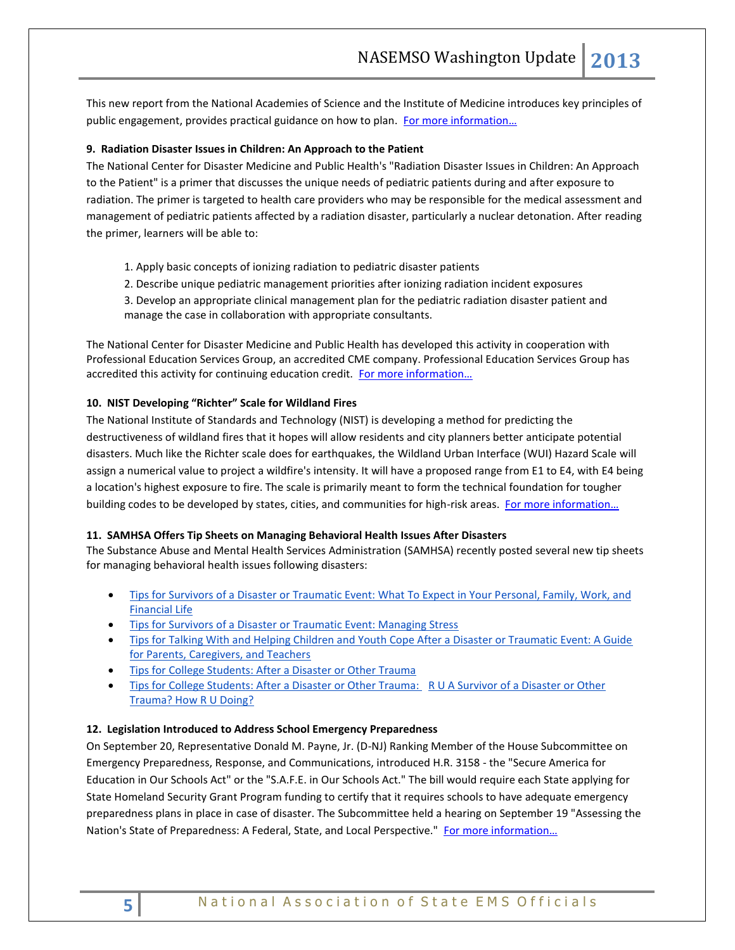This new report from the National Academies of Science and the Institute of Medicine introduces key principles of public engagement, provides practical guidance on how to plan. [For more information…](http://www.nap.edu/catalog.php?record_id=18396)

# **9. Radiation Disaster Issues in Children: An Approach to the Patient**

The National Center for Disaster Medicine and Public Health's "Radiation Disaster Issues in Children: An Approach to the Patient" is a primer that discusses the unique needs of pediatric patients during and after exposure to radiation. The primer is targeted to health care providers who may be responsible for the medical assessment and management of pediatric patients affected by a radiation disaster, particularly a nuclear detonation. After reading the primer, learners will be able to:

- 1. Apply basic concepts of ionizing radiation to pediatric disaster patients
- 2. Describe unique pediatric management priorities after ionizing radiation incident exposures
- 3. Develop an appropriate clinical management plan for the pediatric radiation disaster patient and manage the case in collaboration with appropriate consultants.

The National Center for Disaster Medicine and Public Health has developed this activity in cooperation with Professional Education Services Group, an accredited CME company. Professional Education Services Group has accredited this activity for continuing education credit. For more information...

# **10. NIST Developing "Richter" Scale for Wildland Fires**

The National Institute of Standards an[d Technology](http://www.fireengineering.com/topics/technologies.htm) (NIST) is developing a method for predicting the destructiveness o[f wildland](http://www.fireengineering.com/topics/wildland.htm) fires that it hopes will allow residents and city planners better anticipate potential disasters. Much like the Richter scale does for earthquakes, the [Wildland Urban Interface \(WUI\) Hazard Scale](http://www.fireengineering.com/articles/2012/12/wildfire-news-nist-and-forest-service-create-worlds-first-hazard-scale-for-wildland-fires.html) will assign a numerical value to project a wildfire's intensity. It will have a proposed range from E1 to E4, with E4 being a location's highest exposure to fire. The scale is primarily meant to form the technical foundation for tougher [building codes](http://www.fireengineering.com/topics/building-code.htm) to be developed by states, cities, and communities for high-risk areas. For more information...

# **11. SAMHSA Offers Tip Sheets on Managing Behavioral Health Issues After Disasters**

The Substance Abuse and Mental Health Services Administration (SAMHSA) recently posted several new tip sheets for managing behavioral health issues following disasters:

- [Tips for Survivors of a Disaster or Traumatic Event: What To Expect in Your Personal, Family, Work, and](http://links.govdelivery.com/track?type=click&enid=ZWFzPTEmbWFpbGluZ2lkPTIwMTMwOTI3LjIzNDgwNzkxJm1lc3NhZ2VpZD1NREItUFJELUJVTC0yMDEzMDkyNy4yMzQ4MDc5MSZkYXRhYmFzZWlkPTEwMDEmc2VyaWFsPTE3Nzk2MDYzJmVtYWlsaWQ9cm9iaW5zb25AbmFzZW1zby5vcmcmdXNlcmlkPXJvYmluc29uQG5hc2Vtc28ub3JnJmZsPSZleHRyYT1NdWx0aXZhcmlhdGVJZD0mJiY=&&&103&&&http://store.samhsa.gov/product/Tips-for-Survivors-of-a-Disaster-or-Traumatic-Event-What-to-Expect-in-Your-Personal-Family-Work-and-Financial-Life/SMA13-4775?WT.mc_id=EB_20130918_SMA13-4775)  [Financial Life](http://links.govdelivery.com/track?type=click&enid=ZWFzPTEmbWFpbGluZ2lkPTIwMTMwOTI3LjIzNDgwNzkxJm1lc3NhZ2VpZD1NREItUFJELUJVTC0yMDEzMDkyNy4yMzQ4MDc5MSZkYXRhYmFzZWlkPTEwMDEmc2VyaWFsPTE3Nzk2MDYzJmVtYWlsaWQ9cm9iaW5zb25AbmFzZW1zby5vcmcmdXNlcmlkPXJvYmluc29uQG5hc2Vtc28ub3JnJmZsPSZleHRyYT1NdWx0aXZhcmlhdGVJZD0mJiY=&&&103&&&http://store.samhsa.gov/product/Tips-for-Survivors-of-a-Disaster-or-Traumatic-Event-What-to-Expect-in-Your-Personal-Family-Work-and-Financial-Life/SMA13-4775?WT.mc_id=EB_20130918_SMA13-4775)
- [Tips for Survivors of a Disaster or Traumatic Event: Managing Stress](http://links.govdelivery.com/track?type=click&enid=ZWFzPTEmbWFpbGluZ2lkPTIwMTMwOTI3LjIzNDgwNzkxJm1lc3NhZ2VpZD1NREItUFJELUJVTC0yMDEzMDkyNy4yMzQ4MDc5MSZkYXRhYmFzZWlkPTEwMDEmc2VyaWFsPTE3Nzk2MDYzJmVtYWlsaWQ9cm9iaW5zb25AbmFzZW1zby5vcmcmdXNlcmlkPXJvYmluc29uQG5hc2Vtc28ub3JnJmZsPSZleHRyYT1NdWx0aXZhcmlhdGVJZD0mJiY=&&&104&&&http://store.samhsa.gov/product/Tips-for-Survivors-of-a-Disaster-or-Other-Traumatic-Event-Managing-Your-Stress/SMA13-4776?WT.mc_id=EB_20130918_SMA13-4776)
- [Tips for Talking With and Helping Children and Youth Cope After a Disaster or Traumatic Event: A Guide](http://links.govdelivery.com/track?type=click&enid=ZWFzPTEmbWFpbGluZ2lkPTIwMTMwOTI3LjIzNDgwNzkxJm1lc3NhZ2VpZD1NREItUFJELUJVTC0yMDEzMDkyNy4yMzQ4MDc5MSZkYXRhYmFzZWlkPTEwMDEmc2VyaWFsPTE3Nzk2MDYzJmVtYWlsaWQ9cm9iaW5zb25AbmFzZW1zby5vcmcmdXNlcmlkPXJvYmluc29uQG5hc2Vtc28ub3JnJmZsPSZleHRyYT1NdWx0aXZhcmlhdGVJZD0mJiY=&&&106&&&http://store.samhsa.gov/product/Tips-for-Talking-With-and-Helping-Children-and-Youth-Cope-After-a-Disaster-or-Traumatic-Event-A-Guide-for-Parents-Caregivers-and-Teachers/SMA12-4732?WT.mc_id=EB_20130918_SMA13-4732)  [for Parents, Caregivers, and Teachers](http://links.govdelivery.com/track?type=click&enid=ZWFzPTEmbWFpbGluZ2lkPTIwMTMwOTI3LjIzNDgwNzkxJm1lc3NhZ2VpZD1NREItUFJELUJVTC0yMDEzMDkyNy4yMzQ4MDc5MSZkYXRhYmFzZWlkPTEwMDEmc2VyaWFsPTE3Nzk2MDYzJmVtYWlsaWQ9cm9iaW5zb25AbmFzZW1zby5vcmcmdXNlcmlkPXJvYmluc29uQG5hc2Vtc28ub3JnJmZsPSZleHRyYT1NdWx0aXZhcmlhdGVJZD0mJiY=&&&106&&&http://store.samhsa.gov/product/Tips-for-Talking-With-and-Helping-Children-and-Youth-Cope-After-a-Disaster-or-Traumatic-Event-A-Guide-for-Parents-Caregivers-and-Teachers/SMA12-4732?WT.mc_id=EB_20130918_SMA13-4732)
- [Tips for College Students: After a Disaster or Other Trauma](http://links.govdelivery.com/track?type=click&enid=ZWFzPTEmbWFpbGluZ2lkPTIwMTMwOTI3LjIzNDgwNzkxJm1lc3NhZ2VpZD1NREItUFJELUJVTC0yMDEzMDkyNy4yMzQ4MDc5MSZkYXRhYmFzZWlkPTEwMDEmc2VyaWFsPTE3Nzk2MDYzJmVtYWlsaWQ9cm9iaW5zb25AbmFzZW1zby5vcmcmdXNlcmlkPXJvYmluc29uQG5hc2Vtc28ub3JnJmZsPSZleHRyYT1NdWx0aXZhcmlhdGVJZD0mJiY=&&&107&&&http://store.samhsa.gov/product/Tips-for-College-Students-After-a-Disaster-or-Other-Trauma/SMA13-4777?WT.mc_id=EB_20130918_SMA13-4777)
- [Tips for College Students: After a Disaster or Other Trauma: R U A Survivor of a Disaster or Other](http://links.govdelivery.com/track?type=click&enid=ZWFzPTEmbWFpbGluZ2lkPTIwMTMwOTI3LjIzNDgwNzkxJm1lc3NhZ2VpZD1NREItUFJELUJVTC0yMDEzMDkyNy4yMzQ4MDc5MSZkYXRhYmFzZWlkPTEwMDEmc2VyaWFsPTE3Nzk2MDYzJmVtYWlsaWQ9cm9iaW5zb25AbmFzZW1zby5vcmcmdXNlcmlkPXJvYmluc29uQG5hc2Vtc28ub3JnJmZsPSZleHRyYT1NdWx0aXZhcmlhdGVJZD0mJiY=&&&108&&&http://store.samhsa.gov/product/Tips-for-College-Students-After-a-Disaster-or-Other-Trauma-R-U-A-Survivor-of-a-Disaster-or-Other-Trauma-/SMA13-4778?WT.mc_id=EB_20130918_SMA13-4778)  [Trauma? How R U Doing?](http://links.govdelivery.com/track?type=click&enid=ZWFzPTEmbWFpbGluZ2lkPTIwMTMwOTI3LjIzNDgwNzkxJm1lc3NhZ2VpZD1NREItUFJELUJVTC0yMDEzMDkyNy4yMzQ4MDc5MSZkYXRhYmFzZWlkPTEwMDEmc2VyaWFsPTE3Nzk2MDYzJmVtYWlsaWQ9cm9iaW5zb25AbmFzZW1zby5vcmcmdXNlcmlkPXJvYmluc29uQG5hc2Vtc28ub3JnJmZsPSZleHRyYT1NdWx0aXZhcmlhdGVJZD0mJiY=&&&108&&&http://store.samhsa.gov/product/Tips-for-College-Students-After-a-Disaster-or-Other-Trauma-R-U-A-Survivor-of-a-Disaster-or-Other-Trauma-/SMA13-4778?WT.mc_id=EB_20130918_SMA13-4778)

# **12. Legislation Introduced to Address School Emergency Preparedness**

On September 20, Representative Donald M. Payne, Jr. (D-NJ) Ranking Member of the House Subcommittee on Emergency Preparedness, Response, and Communications, introduced H.R. 3158 - the "Secure America for Education in Our Schools Act" or the "S.A.F.E. in Our Schools Act." The bill would require each State applying for State Homeland Security Grant Program funding to certify that it requires schools to have adequate emergency preparedness plans in place in case of disaster. The Subcommittee held a hearing on September 19 "Assessing the Nation's State of Preparedness: A Federal, State, and Local Perspective." For more information...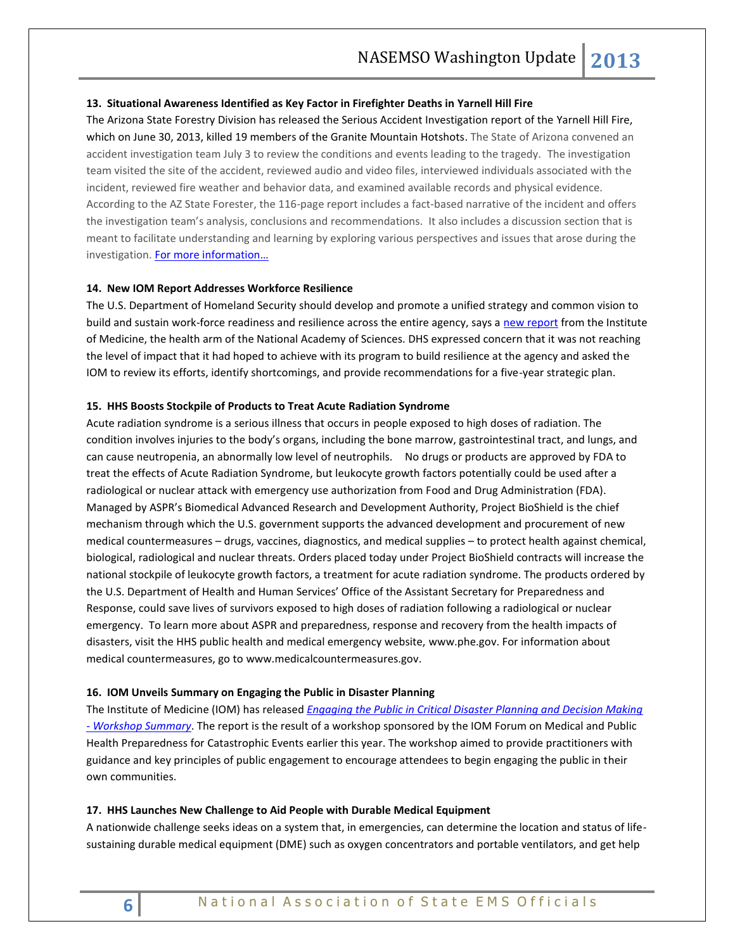### **13. Situational Awareness Identified as Key Factor in Firefighter Deaths in Yarnell Hill Fire**

The Arizona State Forestry Division has released the Serious Accident Investigation report of the [Yarnell Hill Fire,](http://wildfiretoday.com/tag/yarnell-fire/) which on June 30, 2013, killed 19 members of the Granite Mountain Hotshots. The State of Arizona convened an accident investigation team July 3 to review the conditions and events leading to the tragedy. The investigation team visited the site of the accident, reviewed audio and video files, interviewed individuals associated with the incident, reviewed fire weather and behavior data, and examined available records and physical evidence. According to the AZ State Forester, the 116-page report includes a fact-based narrative of the incident and offers the investigation team's analysis, conclusions and recommendations. It also includes a discussion section that is meant to facilitate understanding and learning by exploring various perspectives and issues that arose during the investigation. For more information...

### **14. New IOM Report Addresses Workforce Resilience**

The U.S. Department of Homeland Security should develop and promote a unified strategy and common vision to build and sustain work-force readiness and resilience across the entire agency, says a [new report](http://www.nap.edu/catalog.php?record_id=18407) from the Institute of Medicine, the health arm of the National Academy of Sciences. DHS expressed concern that it was not reaching the level of impact that it had hoped to achieve with its program to build resilience at the agency and asked the IOM to review its efforts, identify shortcomings, and provide recommendations for a five-year strategic plan.

#### **15. HHS Boosts Stockpile of Products to Treat Acute Radiation Syndrome**

Acute radiation syndrome is a serious illness that occurs in people exposed to high doses of radiation. The condition involves injuries to the body's organs, including the bone marrow, gastrointestinal tract, and lungs, and can cause neutropenia, an abnormally low level of neutrophils. No drugs or products are approved by FDA to treat the effects of Acute Radiation Syndrome, but leukocyte growth factors potentially could be used after a radiological or nuclear attack with emergency use authorization from Food and Drug Administration (FDA). Managed by ASPR's Biomedical Advanced Research and Development Authority, Project BioShield is the chief mechanism through which the U.S. government supports the advanced development and procurement of new medical countermeasures – drugs, vaccines, diagnostics, and medical supplies – to protect health against chemical, biological, radiological and nuclear threats. Orders placed today under Project BioShield contracts will increase the national stockpile of leukocyte growth factors, a treatment for acute radiation syndrome. The products ordered by the U.S. Department of Health and Human Services' Office of the Assistant Secretary for Preparedness and Response, could save lives of survivors exposed to high doses of radiation following a radiological or nuclear emergency. To learn more about ASPR and preparedness, response and recovery from the health impacts of disasters, visit the HHS public health and medical emergency website, [www.phe.gov.](http://www.phe.gov/) For information about medical countermeasures, go to [www.medicalcountermeasures.gov.](http://www.medicalcountermeasures.gov/)

#### **16. IOM Unveils Summary on Engaging the Public in Disaster Planning**

The Institute of Medicine (IOM) has released *[Engaging the Public in Critical Disaster Planning and Decision Making](http://iom.edu/Reports/2013/Engaging-the-Public-in-Critical-Disaster-Planning-and-Decision-Making.aspx)  - [Workshop Summary](http://iom.edu/Reports/2013/Engaging-the-Public-in-Critical-Disaster-Planning-and-Decision-Making.aspx)*. The report is the result of a workshop sponsored by the IOM Forum on Medical and Public Health Preparedness for Catastrophic Events earlier this year. The workshop aimed to provide practitioners with guidance and key principles of public engagement to encourage attendees to begin engaging the public in their own communities.

#### **17. HHS Launches New Challenge to Aid People with Durable Medical Equipment**

A nationwide challenge seeks ideas on a system that, in emergencies, can determine the location and status of lifesustaining durable medical equipment (DME) such as oxygen concentrators and portable ventilators, and get help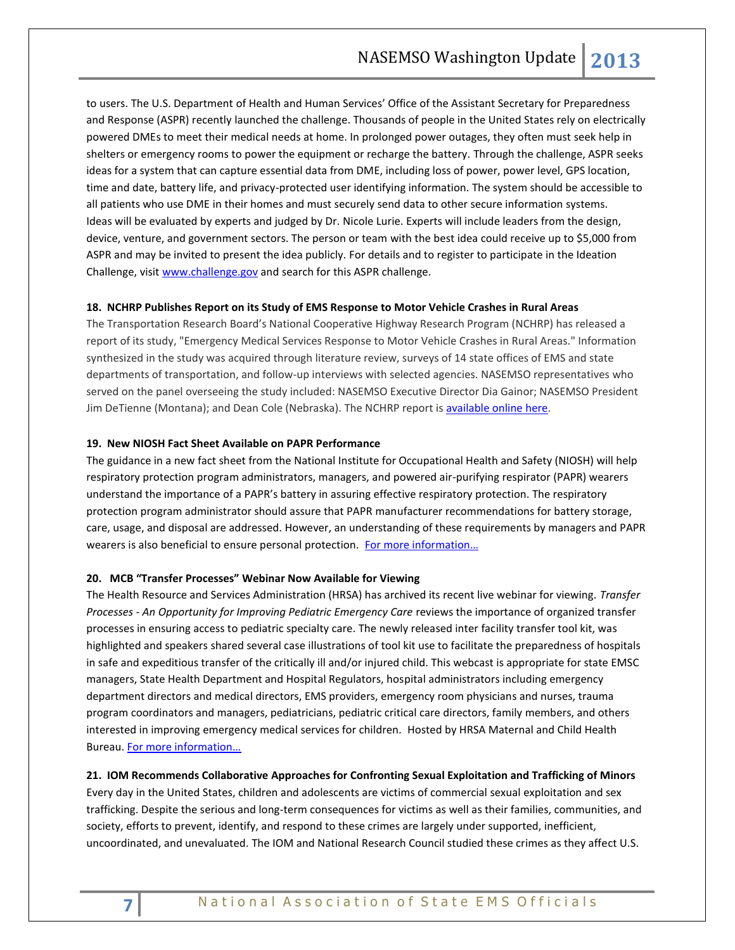to users. The U.S. Department of Health and Human Services' Office of the Assistant Secretary for Preparedness and Response (ASPR) recently launched the challenge. Thousands of people in the United States rely on electrically powered DMEs to meet their medical needs at home. In prolonged power outages, they often must seek help in shelters or emergency rooms to power the equipment or recharge the battery. Through the challenge, ASPR seeks ideas for a system that can capture essential data from DME, including loss of power, power level, GPS location, time and date, battery life, and privacy-protected user identifying information. The system should be accessible to all patients who use DME in their homes and must securely send data to other secure information systems. Ideas will be evaluated by experts and judged by Dr. Nicole Lurie. Experts will include leaders from the design, device, venture, and government sectors. The person or team with the best idea could receive up to \$5,000 from ASPR and may be invited to present the idea publicly. For details and to register to participate in the Ideation Challenge, visit [www.challenge.gov](http://www.challenge.gov/) and search for this ASPR challenge.

# **18. NCHRP Publishes Report on its Study of EMS Response to Motor Vehicle Crashes in Rural Areas**

The Transportation Research Board's National Cooperative Highway Research Program (NCHRP) has released a report of its study, "Emergency Medical Services Response to Motor Vehicle Crashes in Rural Areas." Information synthesized in the study was acquired through literature review, surveys of 14 state offices of EMS and state departments of transportation, and follow-up interviews with selected agencies. NASEMSO representatives who served on the panel overseeing the study included: NASEMSO Executive Director Dia Gainor; NASEMSO President Jim DeTienne (Montana); and Dean Cole (Nebraska). The NCHRP report is [available online here.](http://www.trb.org/Main/Blurbs/169523.aspx)

# **19. New NIOSH Fact Sheet Available on PAPR Performance**

The guidance in a new fact sheet from the National Institute for Occupational Health and Safety (NIOSH) will help respiratory protection program administrators, managers, and powered air-purifying respirator (PAPR) wearers understand the importance of a PAPR's battery in assuring effective respiratory protection. The respiratory protection program administrator should assure that PAPR manufacturer recommendations for battery storage, care, usage, and disposal are addressed. However, an understanding of these requirements by managers and PAPR wearers is also beneficial to ensure personal protection. [For more information…](http://www.cdc.gov/NIOSH/docs/2013-146/pdfs/2013-146.pdf)

#### **20. MCB "Transfer Processes" Webinar Now Available for Viewing**

The Health Resource and Services Administration (HRSA) has archived its recent live webinar for viewing. *Transfer Processes - An Opportunity for Improving Pediatric Emergency Care* reviews the importance of organized transfer processes in ensuring access to pediatric specialty care. The newly released inter facility transfer tool kit, was highlighted and speakers shared several case illustrations of tool kit use to facilitate the preparedness of hospitals in safe and expeditious transfer of the critically ill and/or injured child. This webcast is appropriate for state EMSC managers, State Health Department and Hospital Regulators, hospital administrators including emergency department directors and medical directors, EMS providers, emergency room physicians and nurses, trauma program coordinators and managers, pediatricians, pediatric critical care directors, family members, and others interested in improving emergency medical services for children. Hosted by HRSA Maternal and Child Health Bureau. [For more information…](http://learning.mchb.hrsa.gov/archivedWebcastDetail.asp?id=339)

#### **21. IOM Recommends Collaborative Approaches for Confronting Sexual Exploitation and Trafficking of Minors**

Every day in the United States, children and adolescents are victims of commercial sexual exploitation and sex trafficking. Despite the serious and long-term consequences for victims as well as their families, communities, and society, efforts to prevent, identify, and respond to these crimes are largely under supported, inefficient, uncoordinated, and unevaluated. The IOM and National Research Council studied these crimes as they affect U.S.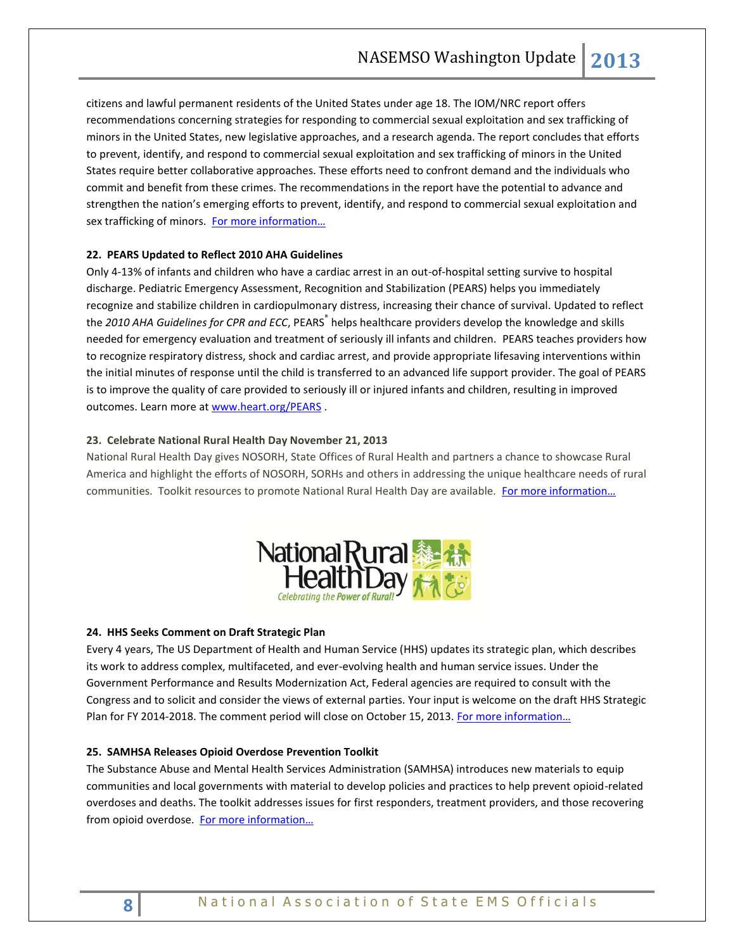citizens and lawful permanent residents of the United States under age 18. The IOM/NRC report offers recommendations concerning strategies for responding to commercial sexual exploitation and sex trafficking of minors in the United States, new legislative approaches, and a research agenda. The report concludes that efforts to prevent, identify, and respond to commercial sexual exploitation and sex trafficking of minors in the United States require better collaborative approaches. These efforts need to confront demand and the individuals who commit and benefit from these crimes. The recommendations in the report have the potential to advance and strengthen the nation's emerging efforts to prevent, identify, and respond to commercial sexual exploitation and sex trafficking of minors. For more information...

# **22. PEARS Updated to Reflect 2010 AHA Guidelines**

Only 4-13% of infants and children who have a cardiac arrest in an out-of-hospital setting survive to hospital discharge. Pediatric Emergency Assessment, Recognition and Stabilization (PEARS) helps you immediately recognize and stabilize children in cardiopulmonary distress, increasing their chance of survival. Updated to reflect the 2010 AHA Guidelines for CPR and ECC, PEARS<sup>®</sup> helps healthcare providers develop the knowledge and skills needed for emergency evaluation and treatment of seriously ill infants and children. PEARS teaches providers how to recognize respiratory distress, shock and cardiac arrest, and provide appropriate lifesaving interventions within the initial minutes of response until the child is transferred to an advanced life support provider. The goal of PEARS is to improve the quality of care provided to seriously ill or injured infants and children, resulting in improved outcomes. Learn more a[t www.heart.org/PEARS](http://www.heart.org/PEARS).

# **23. Celebrate National Rural Health Day November 21, 2013**

National Rural Health Day gives NOSORH, State Offices of Rural Health and partners a chance to showcase Rural America and highlight the efforts of NOSORH, SORHs and others in addressing the unique healthcare needs of rural communities. Toolkit resources to promote National Rural Health Day are available. [For more information…](http://celebratepowerofrural.org/)



# **24. HHS Seeks Comment on Draft Strategic Plan**

Every 4 years, The US Department of Health and Human Service (HHS) updates its strategic plan, which describes its work to address complex, multifaceted, and ever-evolving health and human service issues. Under the Government Performance and Results Modernization Act, Federal agencies are required to consult with the Congress and to solicit and consider the views of external parties. Your input is welcome on the draft HHS Strategic Plan for FY 2014-2018. The comment period will close on October 15, 2013. For more information...

# **25. SAMHSA Releases Opioid Overdose Prevention Toolkit**

The Substance Abuse and Mental Health Services Administration (SAMHSA) introduces new materials to equip communities and local governments with material to develop policies and practices to help prevent opioid-related overdoses and deaths. The toolkit addresses issues for first responders, treatment providers, and those recovering from opioid overdose. For more information...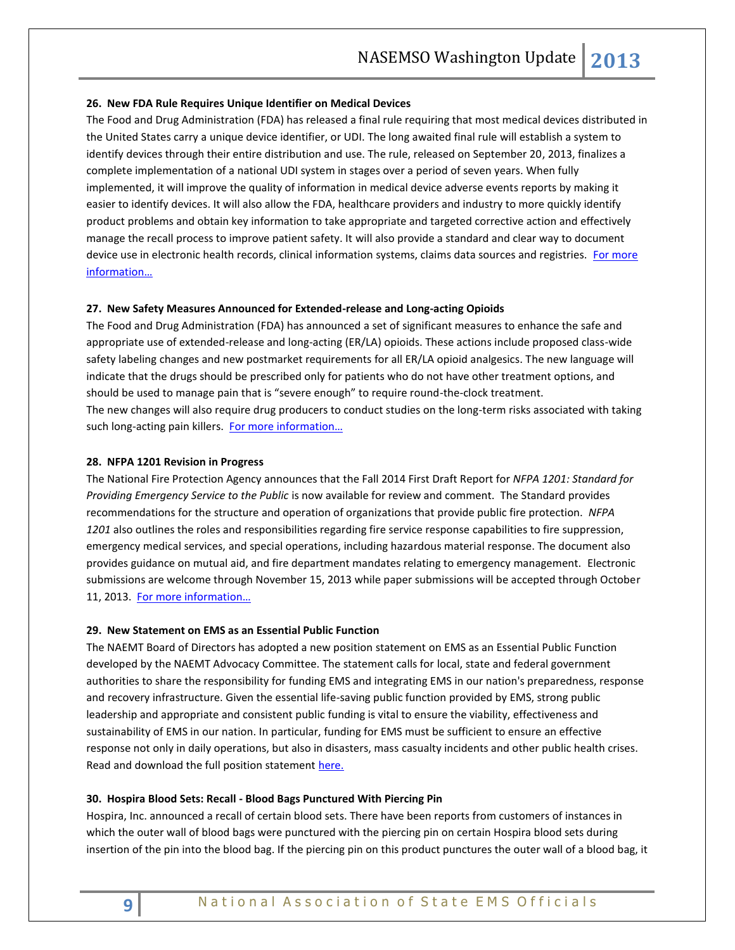#### **26. New FDA Rule Requires Unique Identifier on Medical Devices**

The Food and Drug Administration (FDA) has released a final rule requiring that most medical devices distributed in the United States carry a unique device identifier, or UDI. The long awaited final rule will establish a system to identify devices through their entire distribution and use. The rule, released on September 20, 2013, finalizes a complete implementation of a national UDI system in stages over a period of seven years. When fully implemented, it will improve the quality of information in medical device adverse events reports by making it easier to identify devices. It will also allow the FDA, healthcare providers and industry to more quickly identify product problems and obtain key information to take appropriate and targeted corrective action and effectively manage the recall process to improve patient safety. It will also provide a standard and clear way to document device use in electronic health records, clinical information systems, claims data sources and registries. For more [information…](http://www.fda.gov/MedicalDevices/DeviceRegulationandGuidance/UniqueDeviceIdentification/default.htm)

#### **27. New Safety Measures Announced for Extended-release and Long-acting Opioids**

The Food and Drug Administration (FDA) has announced a set of significant measures to enhance the safe and appropriate use of extended-release and long-acting (ER/LA) opioids. These actions include proposed class-wide safety labeling changes and new postmarket requirements for all ER/LA opioid analgesics. The new language will indicate that the drugs should be prescribed only for patients who do not have other treatment options, and should be used to manage pain that is "severe enough" to require round-the-clock treatment. The new changes will also require drug producers to conduct studies on the long-term risks associated with taking such long-acting pain killers. [For more information…](http://www.fda.gov/NewsEvents/Newsroom/PressAnnouncements/ucm367726.htm)

#### **28. NFPA 1201 Revision in Progress**

The National Fire Protection Agency announces that the Fall 2014 First Draft Report for *NFPA 1201: Standard for Providing Emergency Service to the Public* is now available for review and comment. The Standard provides recommendations for the structure and operation of organizations that provide public fire protection. *NFPA 1201* also outlines the roles and responsibilities regarding fire service response capabilities to fire suppression, emergency medical services, and special operations, including hazardous material response. The document also provides guidance on mutual aid, and fire department mandates relating to emergency management. Electronic submissions are welcome through November 15, 2013 while paper submissions will be accepted through October 11, 2013. [For more information…](https://evsafetytraining.org/aboutthecodes/?mode=code&code=1201&tab=nextedition)

#### **29. New Statement on EMS as an Essential Public Function**

The NAEMT Board of Directors has adopted a new position statement on EMS as an Essential Public Function developed by the NAEMT Advocacy Committee. The statement calls for local, state and federal government authorities to share the responsibility for funding EMS and integrating EMS in our nation's preparedness, response and recovery infrastructure. Given the essential life-saving public function provided by EMS, strong public leadership and appropriate and consistent public funding is vital to ensure the viability, effectiveness and sustainability of EMS in our nation. In particular, funding for EMS must be sufficient to ensure an effective response not only in daily operations, but also in disasters, mass casualty incidents and other public health crises. Read and download the full position statement [here.](http://library.constantcontact.com/download/get/file/1102759616624-256/EMS+as+an+Essential+Public+Function.pdf)

#### **30. Hospira Blood Sets: Recall - Blood Bags Punctured With Piercing Pin**

Hospira, Inc. announced a recall of certain blood sets. There have been reports from customers of instances in which the outer wall of blood bags were punctured with the piercing pin on certain Hospira blood sets during insertion of the pin into the blood bag. If the piercing pin on this product punctures the outer wall of a blood bag, it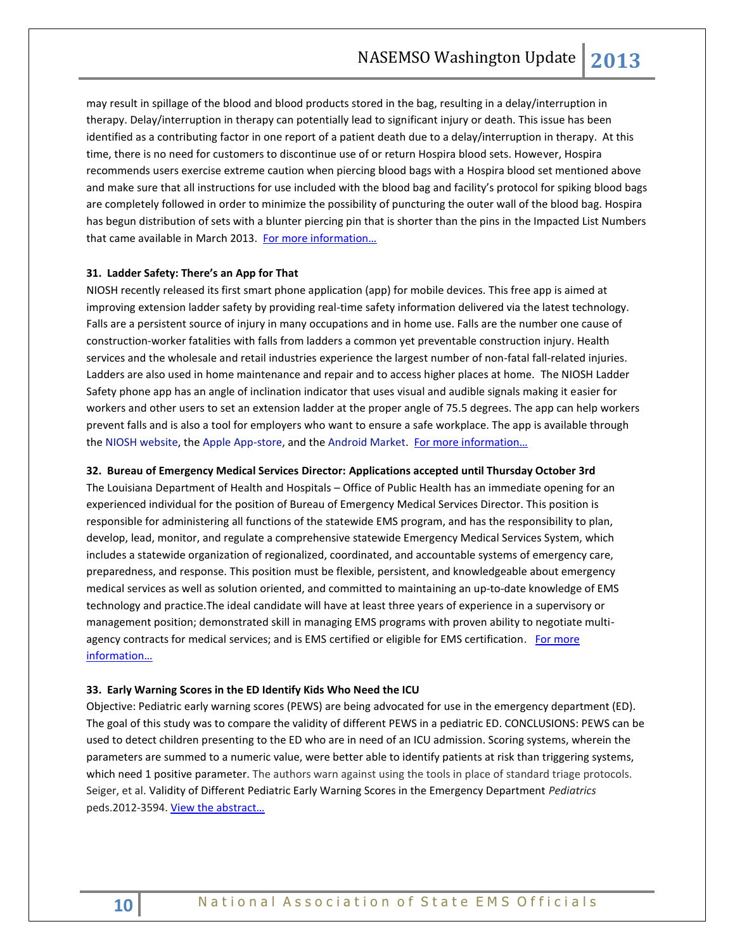may result in spillage of the blood and blood products stored in the bag, resulting in a delay/interruption in therapy. Delay/interruption in therapy can potentially lead to significant injury or death. This issue has been identified as a contributing factor in one report of a patient death due to a delay/interruption in therapy. At this time, there is no need for customers to discontinue use of or return Hospira blood sets. However, Hospira recommends users exercise extreme caution when piercing blood bags with a Hospira blood set mentioned above and make sure that all instructions for use included with the blood bag and facility's protocol for spiking blood bags are completely followed in order to minimize the possibility of puncturing the outer wall of the blood bag. Hospira has begun distribution of sets with a blunter piercing pin that is shorter than the pins in the Impacted List Numbers that came available in March 2013. For more information...

# **31. Ladder Safety: There's an App for That**

NIOSH recently released its first smart phone application (app) for mobile devices. This free app is aimed at improving extension ladder safety by providing real-time safety information delivered via the latest technology. Falls are a persistent source of injury in many occupations and in home use. Falls are the number one cause of construction-worker fatalities with falls from ladders a common yet preventable construction injury. Health services and the wholesale and retail industries experience the largest number of non-fatal fall-related injuries. Ladders are also used in home maintenance and repair and to access higher places at home. The NIOSH Ladder Safety phone app has an angle of inclination indicator that uses visual and audible signals making it easier for workers and other users to set an extension ladder at the proper angle of 75.5 degrees. The app can help workers prevent falls and is also a tool for employers who want to ensure a safe workplace. The app is available through the [NIOSH website,](http://www.cdc.gov/niosh/topics/falls/) the [Apple App-store,](https://itunes.apple.com/WebObjects/MZStore.woa/wa/viewSoftware?id=658633912&mt=8) and th[e Android Market.](https://play.google.com/store/apps/details?id=gov.cdc.niosh.dsr.laddersafety) For more information...

# **32. Bureau of Emergency Medical Services Director: Applications accepted until Thursday October 3rd**

The Louisiana Department of Health and Hospitals – Office of Public Health has an immediate opening for an experienced individual for the position of Bureau of Emergency Medical Services Director. This position is responsible for administering all functions of the statewide EMS program, and has the responsibility to plan, develop, lead, monitor, and regulate a comprehensive statewide Emergency Medical Services System, which includes a statewide organization of regionalized, coordinated, and accountable systems of emergency care, preparedness, and response. This position must be flexible, persistent, and knowledgeable about emergency medical services as well as solution oriented, and committed to maintaining an up-to-date knowledge of EMS technology and practice.The ideal candidate will have at least three years of experience in a supervisory or management position; demonstrated skill in managing EMS programs with proven ability to negotiate multiagency contracts for medical services; and is EMS certified or eligible for EMS certification. For more [information…](http://tinyurl.com/n78qcvd)

# **33. Early Warning Scores in the ED Identify Kids Who Need the ICU**

Objective: Pediatric early warning scores (PEWS) are being advocated for use in the emergency department (ED). The goal of this study was to compare the validity of different PEWS in a pediatric ED. CONCLUSIONS: PEWS can be used to detect children presenting to the ED who are in need of an ICU admission. Scoring systems, wherein the parameters are summed to a numeric value, were better able to identify patients at risk than triggering systems, which need 1 positive parameter. The authors warn against using the tools in place of standard triage protocols. Seiger, et al. Validity of Different Pediatric Early Warning Scores in the Emergency Department *Pediatrics* peds.2012-3594. [View the abstract…](http://pediatrics.aappublications.org/content/early/2013/09/04/peds.2012-3594)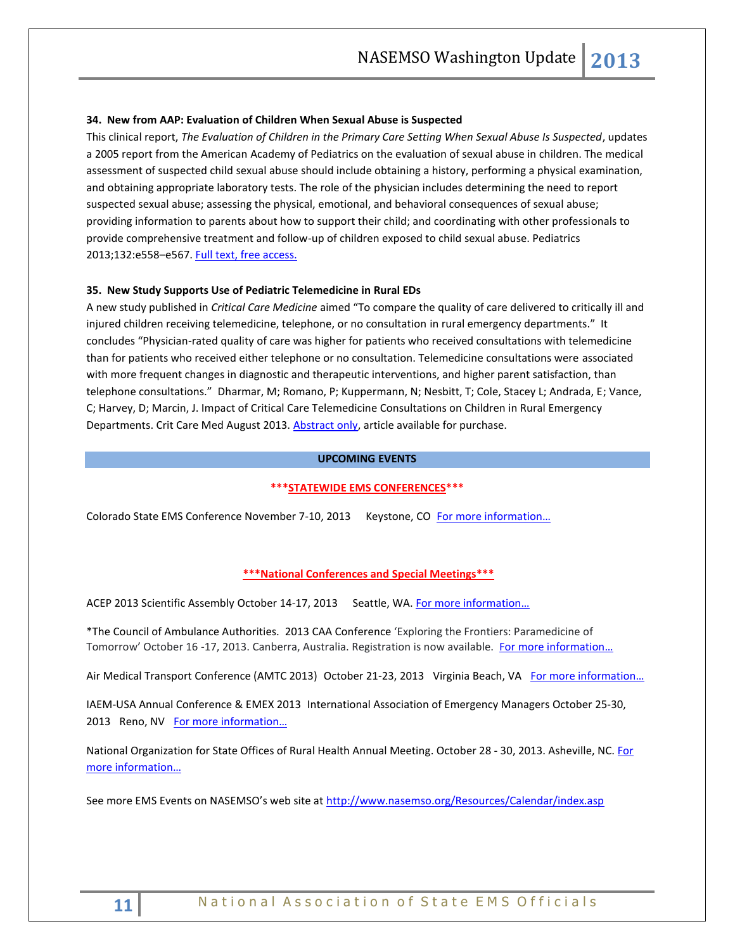# **34. New from AAP: Evaluation of Children When Sexual Abuse is Suspected**

This clinical report, *The Evaluation of Children in the Primary Care Setting When Sexual Abuse Is Suspected*, updates a 2005 report from the American Academy of Pediatrics on the evaluation of sexual abuse in children. The medical assessment of suspected child sexual abuse should include obtaining a history, performing a physical examination, and obtaining appropriate laboratory tests. The role of the physician includes determining the need to report suspected sexual abuse; assessing the physical, emotional, and behavioral consequences of sexual abuse; providing information to parents about how to support their child; and coordinating with other professionals to provide comprehensive treatment and follow-up of children exposed to child sexual abuse. Pediatrics 2013;132:e558-e567. [Full text, free access.](http://pediatrics.aappublications.org/content/early/2013/07/23/peds.2013-1741.full.pdf)

# **35. New Study Supports Use of Pediatric Telemedicine in Rural EDs**

A new study published in *Critical Care Medicine* aimed "To compare the quality of care delivered to critically ill and injured children receiving telemedicine, telephone, or no consultation in rural emergency departments." It concludes "Physician-rated quality of care was higher for patients who received consultations with telemedicine than for patients who received either telephone or no consultation. Telemedicine consultations were associated with more frequent changes in diagnostic and therapeutic interventions, and higher parent satisfaction, than telephone consultations." Dharmar, M; Romano, P; Kuppermann, N; Nesbitt, T; Cole, Stacey L; Andrada, E; Vance, C; Harvey, D; Marcin, J. Impact of Critical Care Telemedicine Consultations on Children in Rural Emergency Departments. Crit Care Med August 2013. [Abstract only,](http://journals.lww.com/ccmjournal/Abstract/publishahead/Impact_of_Critical_Care_Telemedicine_Consultations.97804.aspx) article available for purchase.

# **UPCOMING EVENTS**

# **\*\*\*STATEWIDE EMS CONFERENCES\*\*\***

Colorado State EMS Conference November 7-10, 2013 Keystone, CO For more information...

#### **\*\*\*National Conferences and Special Meetings\*\*\***

ACEP 2013 Scientific Assembly October 14-17, 2013 Seattle, WA. For more information...

\*The Council of Ambulance Authorities. 2013 CAA Conference 'Exploring the Frontiers: Paramedicine of Tomorrow' October 16 -17, 2013. Canberra, Australia. Registration is now available. For more information...

Air Medical Transport Conference (AMTC 2013) October 21-23, 2013 Virginia Beach, VA For more information...

IAEM-USA Annual Conference & EMEX 2013 International Association of Emergency Managers October 25-30, 2013 Reno, NV For more information...

National Organization for State Offices of Rural Health Annual Meeting. October 28 - 30, 2013. Asheville, NC. For [more information…](http://www.nosorh.org/news/events.php)

See more EMS Events on NASEMSO's web site at <http://www.nasemso.org/Resources/Calendar/index.asp>